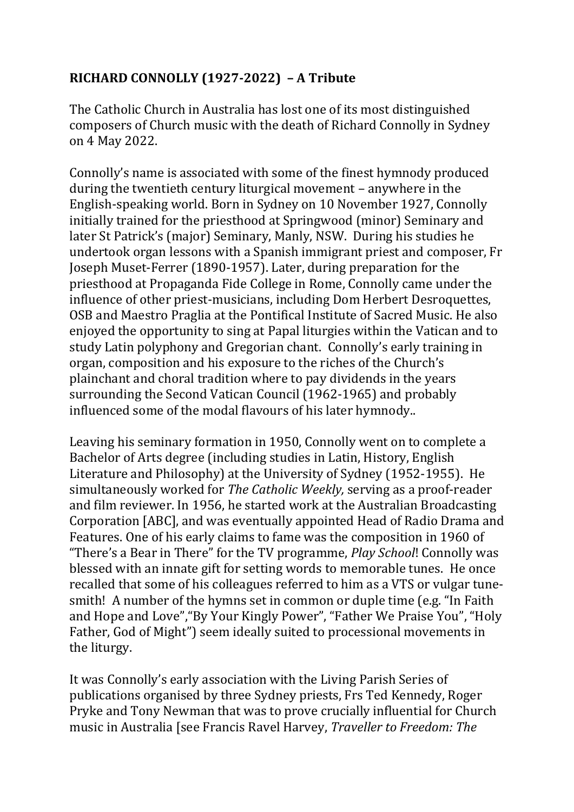## **RICHARD CONNOLLY (1927-2022) – A Tribute**

The Catholic Church in Australia has lost one of its most distinguished composers of Church music with the death of Richard Connolly in Sydney on 4 May 2022.

Connolly's name is associated with some of the finest hymnody produced during the twentieth century liturgical movement – anywhere in the English-speaking world. Born in Sydney on 10 November 1927, Connolly initially trained for the priesthood at Springwood (minor) Seminary and later St Patrick's (major) Seminary, Manly, NSW. During his studies he undertook organ lessons with a Spanish immigrant priest and composer, Fr Joseph Muset-Ferrer (1890-1957). Later, during preparation for the priesthood at Propaganda Fide College in Rome, Connolly came under the influence of other priest-musicians, including Dom Herbert Desroquettes, OSB and Maestro Praglia at the Pontifical Institute of Sacred Music. He also enjoyed the opportunity to sing at Papal liturgies within the Vatican and to study Latin polyphony and Gregorian chant. Connolly's early training in organ, composition and his exposure to the riches of the Church's plainchant and choral tradition where to pay dividends in the years surrounding the Second Vatican Council (1962-1965) and probably influenced some of the modal flavours of his later hymnody..

Leaving his seminary formation in 1950, Connolly went on to complete a Bachelor of Arts degree (including studies in Latin, History, English Literature and Philosophy) at the University of Sydney (1952-1955). He simultaneously worked for *The Catholic Weekly,* serving as a proof-reader and film reviewer. In 1956, he started work at the Australian Broadcasting Corporation [ABC], and was eventually appointed Head of Radio Drama and Features. One of his early claims to fame was the composition in 1960 of "There's a Bear in There" for the TV programme, *Play School*! Connolly was blessed with an innate gift for setting words to memorable tunes. He once recalled that some of his colleagues referred to him as a VTS or vulgar tunesmith! A number of the hymns set in common or duple time (e.g. "In Faith and Hope and Love","By Your Kingly Power", "Father We Praise You", "Holy Father, God of Might") seem ideally suited to processional movements in the liturgy.

It was Connolly's early association with the Living Parish Series of publications organised by three Sydney priests, Frs Ted Kennedy, Roger Pryke and Tony Newman that was to prove crucially influential for Church music in Australia [see Francis Ravel Harvey, *Traveller to Freedom: The*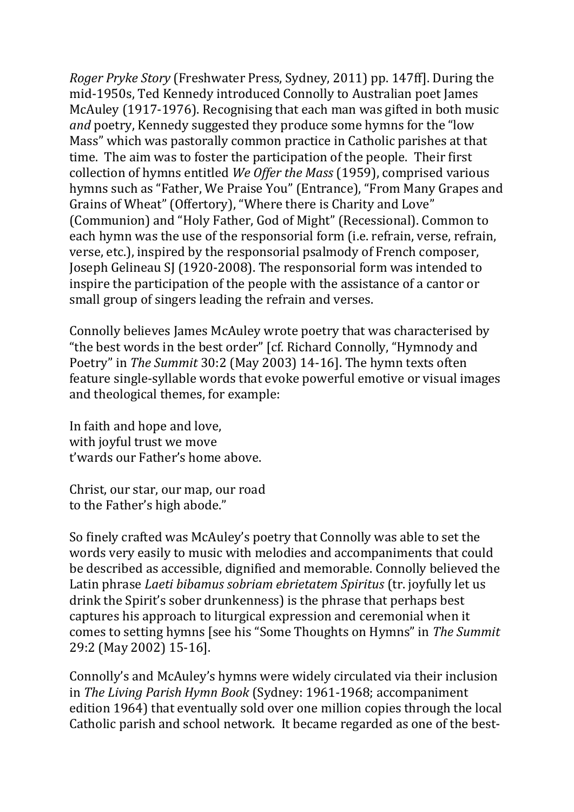*Roger Pryke Story* (Freshwater Press, Sydney, 2011) pp. 147ff]. During the mid-1950s, Ted Kennedy introduced Connolly to Australian poet James McAuley (1917-1976). Recognising that each man was gifted in both music *and* poetry, Kennedy suggested they produce some hymns for the "low Mass" which was pastorally common practice in Catholic parishes at that time. The aim was to foster the participation of the people. Their first collection of hymns entitled *We Offer the Mass* (1959), comprised various hymns such as "Father, We Praise You" (Entrance), "From Many Grapes and Grains of Wheat" (Offertory), "Where there is Charity and Love" (Communion) and "Holy Father, God of Might" (Recessional). Common to each hymn was the use of the responsorial form (i.e. refrain, verse, refrain, verse, etc.), inspired by the responsorial psalmody of French composer, Joseph Gelineau SJ (1920-2008). The responsorial form was intended to inspire the participation of the people with the assistance of a cantor or small group of singers leading the refrain and verses.

Connolly believes James McAuley wrote poetry that was characterised by "the best words in the best order" [cf. Richard Connolly, "Hymnody and Poetry" in *The Summit* 30:2 (May 2003) 14-16]. The hymn texts often feature single-syllable words that evoke powerful emotive or visual images and theological themes, for example:

In faith and hope and love, with joyful trust we move t'wards our Father's home above.

Christ, our star, our map, our road to the Father's high abode."

So finely crafted was McAuley's poetry that Connolly was able to set the words very easily to music with melodies and accompaniments that could be described as accessible, dignified and memorable. Connolly believed the Latin phrase *Laeti bibamus sobriam ebrietatem Spiritus* (tr. joyfully let us drink the Spirit's sober drunkenness) is the phrase that perhaps best captures his approach to liturgical expression and ceremonial when it comes to setting hymns [see his "Some Thoughts on Hymns" in *The Summit* 29:2 (May 2002) 15-16].

Connolly's and McAuley's hymns were widely circulated via their inclusion in *The Living Parish Hymn Book* (Sydney: 1961-1968; accompaniment edition 1964) that eventually sold over one million copies through the local Catholic parish and school network. It became regarded as one of the best-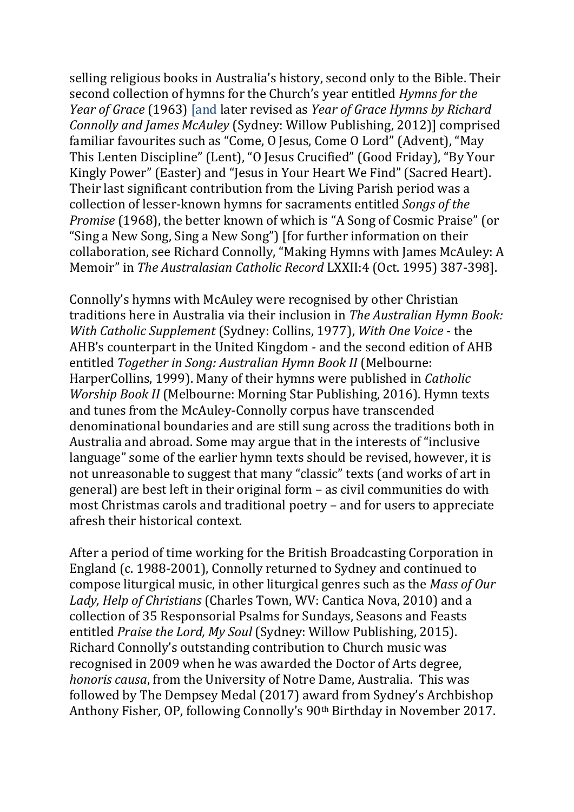selling religious books in Australia's history, second only to the Bible. Their second collection of hymns for the Church's year entitled *Hymns for the Year of Grace* (1963) [and later revised as *Year of Grace Hymns by Richard Connolly and James McAuley* (Sydney: Willow Publishing, 2012)] comprised familiar favourites such as "Come, O Jesus, Come O Lord" (Advent), "May This Lenten Discipline" (Lent), "O Jesus Crucified" (Good Friday), "By Your Kingly Power" (Easter) and "Jesus in Your Heart We Find" (Sacred Heart). Their last significant contribution from the Living Parish period was a collection of lesser-known hymns for sacraments entitled *Songs of the Promise* (1968), the better known of which is "A Song of Cosmic Praise" (or "Sing a New Song, Sing a New Song") [for further information on their collaboration, see Richard Connolly, "Making Hymns with James McAuley: A Memoir" in *The Australasian Catholic Record* LXXII:4 (Oct. 1995) 387-398].

Connolly's hymns with McAuley were recognised by other Christian traditions here in Australia via their inclusion in *The Australian Hymn Book: With Catholic Supplement* (Sydney: Collins, 1977), *With One Voice* - the AHB's counterpart in the United Kingdom - and the second edition of AHB entitled *Together in Song: Australian Hymn Book II* (Melbourne: HarperCollins, 1999). Many of their hymns were published in *Catholic Worship Book II* (Melbourne: Morning Star Publishing, 2016). Hymn texts and tunes from the McAuley-Connolly corpus have transcended denominational boundaries and are still sung across the traditions both in Australia and abroad. Some may argue that in the interests of "inclusive language" some of the earlier hymn texts should be revised, however, it is not unreasonable to suggest that many "classic" texts (and works of art in general) are best left in their original form – as civil communities do with most Christmas carols and traditional poetry – and for users to appreciate afresh their historical context.

After a period of time working for the British Broadcasting Corporation in England (c. 1988-2001), Connolly returned to Sydney and continued to compose liturgical music, in other liturgical genres such as the *Mass of Our Lady, Help of Christians* (Charles Town, WV: Cantica Nova, 2010) and a collection of 35 Responsorial Psalms for Sundays, Seasons and Feasts entitled *Praise the Lord, My Soul* (Sydney: Willow Publishing, 2015). Richard Connolly's outstanding contribution to Church music was recognised in 2009 when he was awarded the Doctor of Arts degree, *honoris causa*, from the University of Notre Dame, Australia. This was followed by The Dempsey Medal (2017) award from Sydney's Archbishop Anthony Fisher, OP, following Connolly's 90th Birthday in November 2017.